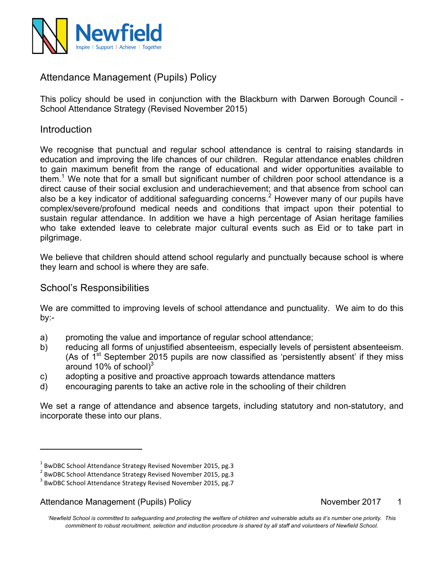

# Attendance Management (Pupils) Policy

This policy should be used in conjunction with the Blackburn with Darwen Borough Council - School Attendance Strategy (Revised November 2015)

### **Introduction**

We recognise that punctual and regular school attendance is central to raising standards in education and improving the life chances of our children. Regular attendance enables children to gain maximum benefit from the range of educational and wider opportunities available to them.1 We note that for a small but significant number of children poor school attendance is a direct cause of their social exclusion and underachievement; and that absence from school can also be a key indicator of additional safeguarding concerns.<sup>2</sup> However many of our pupils have complex/severe/profound medical needs and conditions that impact upon their potential to sustain regular attendance. In addition we have a high percentage of Asian heritage families who take extended leave to celebrate major cultural events such as Eid or to take part in pilgrimage.

We believe that children should attend school regularly and punctually because school is where they learn and school is where they are safe.

### School's Responsibilities

We are committed to improving levels of school attendance and punctuality. We aim to do this by:-

- a) promoting the value and importance of regular school attendance;
- b) reducing all forms of unjustified absenteeism, especially levels of persistent absenteeism. (As of  $1<sup>st</sup>$  September 2015 pupils are now classified as 'persistently absent' if they miss around 10% of school) $3$
- c) adopting a positive and proactive approach towards attendance matters
- d) encouraging parents to take an active role in the schooling of their children

We set a range of attendance and absence targets, including statutory and non-statutory, and incorporate these into our plans.

Attendance Management (Pupils) Policy November 2017 1

<u> 1989 - Jan Samuel Barbara, margaret e</u>

 $^{1}$  BwDBC School Attendance Strategy Revised November 2015, pg.3

 $2$  BwDBC School Attendance Strategy Revised November 2015, pg.3

 $3$  BwDBC School Attendance Strategy Revised November 2015, pg.7

*<sup>&#</sup>x27;Newfield School is committed to safeguarding and protecting the welfare of children and vulnerable adults as it's number one priority. This commitment to robust recruitment, selection and induction procedure is shared by all staff and volunteers of Newfield School.*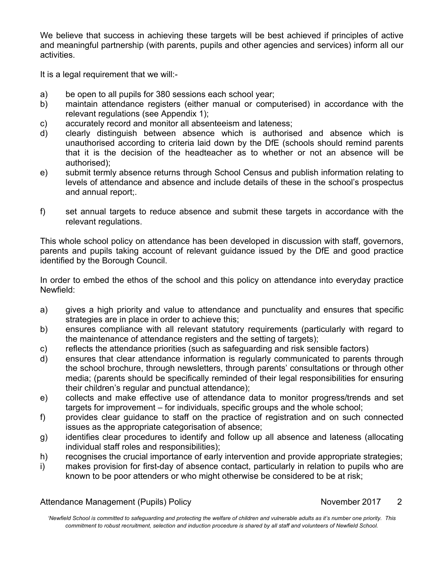We believe that success in achieving these targets will be best achieved if principles of active and meaningful partnership (with parents, pupils and other agencies and services) inform all our activities.

It is a legal requirement that we will:-

- a) be open to all pupils for 380 sessions each school year;
- b) maintain attendance registers (either manual or computerised) in accordance with the relevant regulations (see Appendix 1);
- c) accurately record and monitor all absenteeism and lateness;
- d) clearly distinguish between absence which is authorised and absence which is unauthorised according to criteria laid down by the DfE (schools should remind parents that it is the decision of the headteacher as to whether or not an absence will be authorised);
- e) submit termly absence returns through School Census and publish information relating to levels of attendance and absence and include details of these in the school's prospectus and annual report;.
- f) set annual targets to reduce absence and submit these targets in accordance with the relevant regulations.

This whole school policy on attendance has been developed in discussion with staff, governors, parents and pupils taking account of relevant guidance issued by the DfE and good practice identified by the Borough Council.

In order to embed the ethos of the school and this policy on attendance into everyday practice Newfield:

- a) gives a high priority and value to attendance and punctuality and ensures that specific strategies are in place in order to achieve this;
- b) ensures compliance with all relevant statutory requirements (particularly with regard to the maintenance of attendance registers and the setting of targets);
- c) reflects the attendance priorities (such as safeguarding and risk sensible factors)
- d) ensures that clear attendance information is regularly communicated to parents through the school brochure, through newsletters, through parents' consultations or through other media; (parents should be specifically reminded of their legal responsibilities for ensuring their children's regular and punctual attendance);
- e) collects and make effective use of attendance data to monitor progress/trends and set targets for improvement – for individuals, specific groups and the whole school;
- f) provides clear guidance to staff on the practice of registration and on such connected issues as the appropriate categorisation of absence;
- g) identifies clear procedures to identify and follow up all absence and lateness (allocating individual staff roles and responsibilities);
- h) recognises the crucial importance of early intervention and provide appropriate strategies;
- i) makes provision for first-day of absence contact, particularly in relation to pupils who are known to be poor attenders or who might otherwise be considered to be at risk;

|  | <b>Attendance Management (Pupils) Policy</b> |  |  |
|--|----------------------------------------------|--|--|
|--|----------------------------------------------|--|--|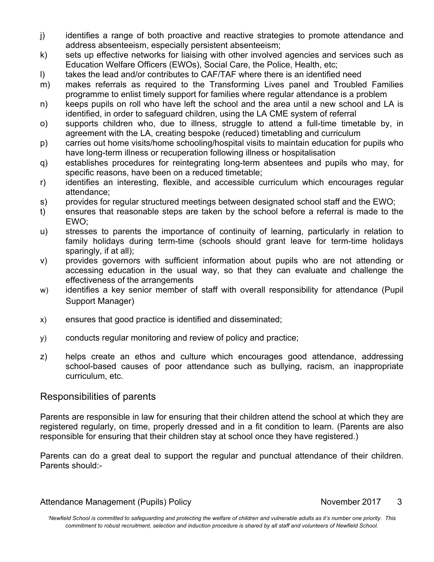- j) identifies a range of both proactive and reactive strategies to promote attendance and address absenteeism, especially persistent absenteeism;
- k) sets up effective networks for liaising with other involved agencies and services such as Education Welfare Officers (EWOs), Social Care, the Police, Health, etc;
- l) takes the lead and/or contributes to CAF/TAF where there is an identified need
- m) makes referrals as required to the Transforming Lives panel and Troubled Families programme to enlist timely support for families where regular attendance is a problem
- n) keeps pupils on roll who have left the school and the area until a new school and LA is identified, in order to safeguard children, using the LA CME system of referral
- o) supports children who, due to illness, struggle to attend a full-time timetable by, in agreement with the LA, creating bespoke (reduced) timetabling and curriculum
- p) carries out home visits/home schooling/hospital visits to maintain education for pupils who have long-term illness or recuperation following illness or hospitalisation
- q) establishes procedures for reintegrating long-term absentees and pupils who may, for specific reasons, have been on a reduced timetable;
- r) identifies an interesting, flexible, and accessible curriculum which encourages regular attendance;
- s) provides for regular structured meetings between designated school staff and the EWO;
- t) ensures that reasonable steps are taken by the school before a referral is made to the EWO;
- u) stresses to parents the importance of continuity of learning, particularly in relation to family holidays during term-time (schools should grant leave for term-time holidays sparingly, if at all);
- v) provides governors with sufficient information about pupils who are not attending or accessing education in the usual way, so that they can evaluate and challenge the effectiveness of the arrangements
- w) identifies a key senior member of staff with overall responsibility for attendance (Pupil Support Manager)
- x) ensures that good practice is identified and disseminated;
- y) conducts regular monitoring and review of policy and practice;
- z) helps create an ethos and culture which encourages good attendance, addressing school-based causes of poor attendance such as bullying, racism, an inappropriate curriculum, etc.

## Responsibilities of parents

Parents are responsible in law for ensuring that their children attend the school at which they are registered regularly, on time, properly dressed and in a fit condition to learn. (Parents are also responsible for ensuring that their children stay at school once they have registered.)

Parents can do a great deal to support the regular and punctual attendance of their children. Parents should:-

#### Attendance Management (Pupils) Policy November 2017 3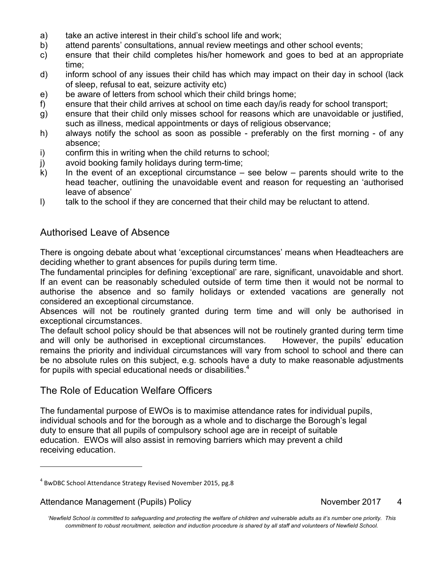- a) take an active interest in their child's school life and work;
- b) attend parents' consultations, annual review meetings and other school events;
- c) ensure that their child completes his/her homework and goes to bed at an appropriate time;
- d) inform school of any issues their child has which may impact on their day in school (lack of sleep, refusal to eat, seizure activity etc)
- e) be aware of letters from school which their child brings home;
- f) ensure that their child arrives at school on time each day/is ready for school transport;
- g) ensure that their child only misses school for reasons which are unavoidable or justified, such as illness, medical appointments or days of religious observance;
- h) always notify the school as soon as possible preferably on the first morning of any absence;
- i) confirm this in writing when the child returns to school;
- j) avoid booking family holidays during term-time;
- $k$ ) In the event of an exceptional circumstance see below parents should write to the head teacher, outlining the unavoidable event and reason for requesting an 'authorised leave of absence'
- l) talk to the school if they are concerned that their child may be reluctant to attend.

### Authorised Leave of Absence

There is ongoing debate about what 'exceptional circumstances' means when Headteachers are deciding whether to grant absences for pupils during term time.

The fundamental principles for defining 'exceptional' are rare, significant, unavoidable and short. If an event can be reasonably scheduled outside of term time then it would not be normal to authorise the absence and so family holidays or extended vacations are generally not considered an exceptional circumstance.

Absences will not be routinely granted during term time and will only be authorised in exceptional circumstances.

The default school policy should be that absences will not be routinely granted during term time and will only be authorised in exceptional circumstances. However, the pupils' education remains the priority and individual circumstances will vary from school to school and there can be no absolute rules on this subject, e.g. schools have a duty to make reasonable adjustments for pupils with special educational needs or disabilities.<sup>4</sup>

### The Role of Education Welfare Officers

The fundamental purpose of EWOs is to maximise attendance rates for individual pupils, individual schools and for the borough as a whole and to discharge the Borough's legal duty to ensure that all pupils of compulsory school age are in receipt of suitable education. EWOs will also assist in removing barriers which may prevent a child receiving education.

#### Attendance Management (Pupils) Policy November 2017 4

<u> 1989 - Jan Samuel Barbara, margaret e</u>

 $4$  BwDBC School Attendance Strategy Revised November 2015, pg.8

*<sup>&#</sup>x27;Newfield School is committed to safeguarding and protecting the welfare of children and vulnerable adults as it's number one priority. This commitment to robust recruitment, selection and induction procedure is shared by all staff and volunteers of Newfield School.*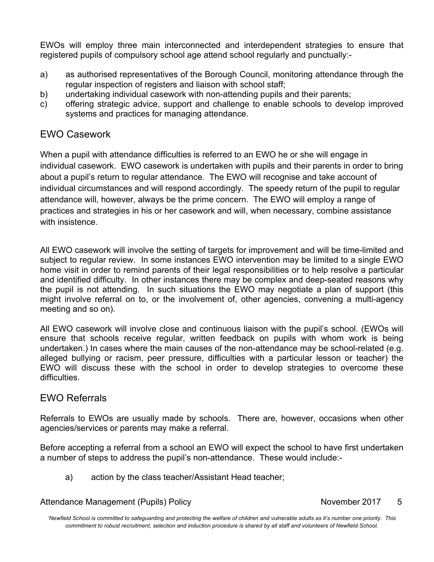EWOs will employ three main interconnected and interdependent strategies to ensure that registered pupils of compulsory school age attend school regularly and punctually:-

- a) as authorised representatives of the Borough Council, monitoring attendance through the regular inspection of registers and liaison with school staff;
- b) undertaking individual casework with non-attending pupils and their parents;
- c) offering strategic advice, support and challenge to enable schools to develop improved systems and practices for managing attendance.

## EWO Casework

When a pupil with attendance difficulties is referred to an EWO he or she will engage in individual casework. EWO casework is undertaken with pupils and their parents in order to bring about a pupil's return to regular attendance. The EWO will recognise and take account of individual circumstances and will respond accordingly. The speedy return of the pupil to regular attendance will, however, always be the prime concern. The EWO will employ a range of practices and strategies in his or her casework and will, when necessary, combine assistance with insistence.

All EWO casework will involve the setting of targets for improvement and will be time-limited and subject to regular review. In some instances EWO intervention may be limited to a single EWO home visit in order to remind parents of their legal responsibilities or to help resolve a particular and identified difficulty. In other instances there may be complex and deep-seated reasons why the pupil is not attending. In such situations the EWO may negotiate a plan of support (this might involve referral on to, or the involvement of, other agencies, convening a multi-agency meeting and so on).

All EWO casework will involve close and continuous liaison with the pupil's school. (EWOs will ensure that schools receive regular, written feedback on pupils with whom work is being undertaken.) In cases where the main causes of the non-attendance may be school-related (e.g. alleged bullying or racism, peer pressure, difficulties with a particular lesson or teacher) the EWO will discuss these with the school in order to develop strategies to overcome these difficulties.

### EWO Referrals

Referrals to EWOs are usually made by schools. There are, however, occasions when other agencies/services or parents may make a referral.

Before accepting a referral from a school an EWO will expect the school to have first undertaken a number of steps to address the pupil's non-attendance. These would include:-

a) action by the class teacher/Assistant Head teacher;

Attendance Management (Pupils) Policy November 2017 5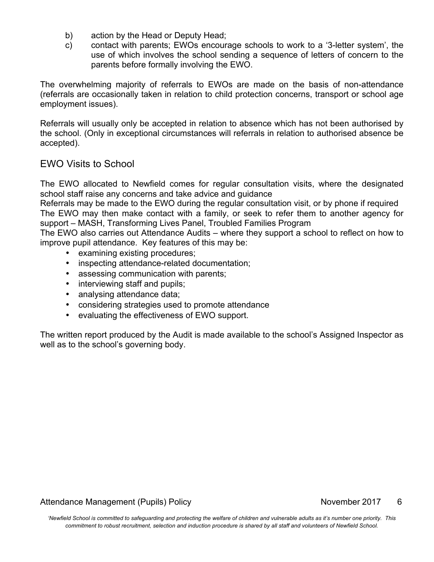- b) action by the Head or Deputy Head;
- c) contact with parents; EWOs encourage schools to work to a '3-letter system', the use of which involves the school sending a sequence of letters of concern to the parents before formally involving the EWO.

The overwhelming majority of referrals to EWOs are made on the basis of non-attendance (referrals are occasionally taken in relation to child protection concerns, transport or school age employment issues).

Referrals will usually only be accepted in relation to absence which has not been authorised by the school. (Only in exceptional circumstances will referrals in relation to authorised absence be accepted).

### EWO Visits to School

The EWO allocated to Newfield comes for regular consultation visits, where the designated school staff raise any concerns and take advice and guidance

Referrals may be made to the EWO during the regular consultation visit, or by phone if required The EWO may then make contact with a family, or seek to refer them to another agency for support – MASH, Transforming Lives Panel, Troubled Families Program

The EWO also carries out Attendance Audits – where they support a school to reflect on how to improve pupil attendance. Key features of this may be:

- examining existing procedures;
- inspecting attendance-related documentation;
- assessing communication with parents;
- interviewing staff and pupils;
- analysing attendance data;
- considering strategies used to promote attendance
- evaluating the effectiveness of EWO support.

The written report produced by the Audit is made available to the school's Assigned Inspector as well as to the school's governing body.

#### Attendance Management (Pupils) Policy November 2017 6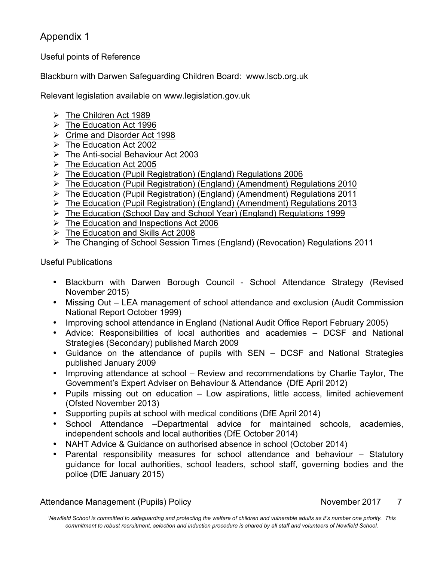## Appendix 1

Useful points of Reference

Blackburn with Darwen Safeguarding Children Board: www.lscb.org.uk

Relevant legislation available on www.legislation.gov.uk

- $\triangleright$  The Children Act 1989
- $\triangleright$  The Education Act 1996
- Ø Crime and Disorder Act 1998
- $\triangleright$  The Education Act 2002
- $\triangleright$  The Anti-social Behaviour Act 2003
- $\triangleright$  The Education Act 2005
- $\triangleright$  The Education (Pupil Registration) (England) Regulations 2006
- Ø The Education (Pupil Registration) (England) (Amendment) Regulations 2010
- Ø The Education (Pupil Registration) (England) (Amendment) Regulations 2011
- Ø The Education (Pupil Registration) (England) (Amendment) Regulations 2013
- Ø The Education (School Day and School Year) (England) Regulations 1999
- $\triangleright$  The Education and Inspections Act 2006
- $\triangleright$  The Education and Skills Act 2008
- Ø The Changing of School Session Times (England) (Revocation) Regulations 2011

Useful Publications

- Blackburn with Darwen Borough Council School Attendance Strategy (Revised November 2015)
- Missing Out LEA management of school attendance and exclusion (Audit Commission National Report October 1999)
- Improving school attendance in England (National Audit Office Report February 2005)
- Advice: Responsibilities of local authorities and academies DCSF and National Strategies (Secondary) published March 2009
- Guidance on the attendance of pupils with SEN DCSF and National Strategies published January 2009
- Improving attendance at school Review and recommendations by Charlie Taylor, The Government's Expert Adviser on Behaviour & Attendance (DfE April 2012)
- Pupils missing out on education Low aspirations, little access, limited achievement (Ofsted November 2013)
- Supporting pupils at school with medical conditions (DfE April 2014)
- School Attendance –Departmental advice for maintained schools, academies, independent schools and local authorities (DfE October 2014)
- NAHT Advice & Guidance on authorised absence in school (October 2014)
- Parental responsibility measures for school attendance and behaviour Statutory guidance for local authorities, school leaders, school staff, governing bodies and the police (DfE January 2015)

Attendance Management (Pupils) Policy November 2017 7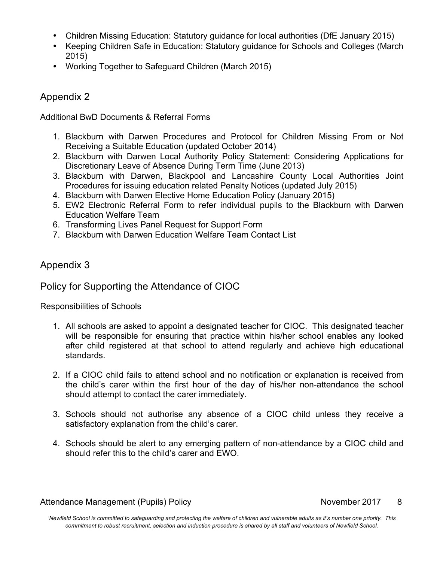- Children Missing Education: Statutory guidance for local authorities (DfE January 2015)
- Keeping Children Safe in Education: Statutory guidance for Schools and Colleges (March 2015)
- Working Together to Safeguard Children (March 2015)

## Appendix 2

Additional BwD Documents & Referral Forms

- 1. Blackburn with Darwen Procedures and Protocol for Children Missing From or Not Receiving a Suitable Education (updated October 2014)
- 2. Blackburn with Darwen Local Authority Policy Statement: Considering Applications for Discretionary Leave of Absence During Term Time (June 2013)
- 3. Blackburn with Darwen, Blackpool and Lancashire County Local Authorities Joint Procedures for issuing education related Penalty Notices (updated July 2015)
- 4. Blackburn with Darwen Elective Home Education Policy (January 2015)
- 5. EW2 Electronic Referral Form to refer individual pupils to the Blackburn with Darwen Education Welfare Team
- 6. Transforming Lives Panel Request for Support Form
- 7. Blackburn with Darwen Education Welfare Team Contact List

## Appendix 3

# Policy for Supporting the Attendance of CIOC

Responsibilities of Schools

- 1. All schools are asked to appoint a designated teacher for CIOC. This designated teacher will be responsible for ensuring that practice within his/her school enables any looked after child registered at that school to attend regularly and achieve high educational standards.
- 2. If a CIOC child fails to attend school and no notification or explanation is received from the child's carer within the first hour of the day of his/her non-attendance the school should attempt to contact the carer immediately.
- 3. Schools should not authorise any absence of a CIOC child unless they receive a satisfactory explanation from the child's carer.
- 4. Schools should be alert to any emerging pattern of non-attendance by a CIOC child and should refer this to the child's carer and EWO.

#### Attendance Management (Pupils) Policy November 2017 8